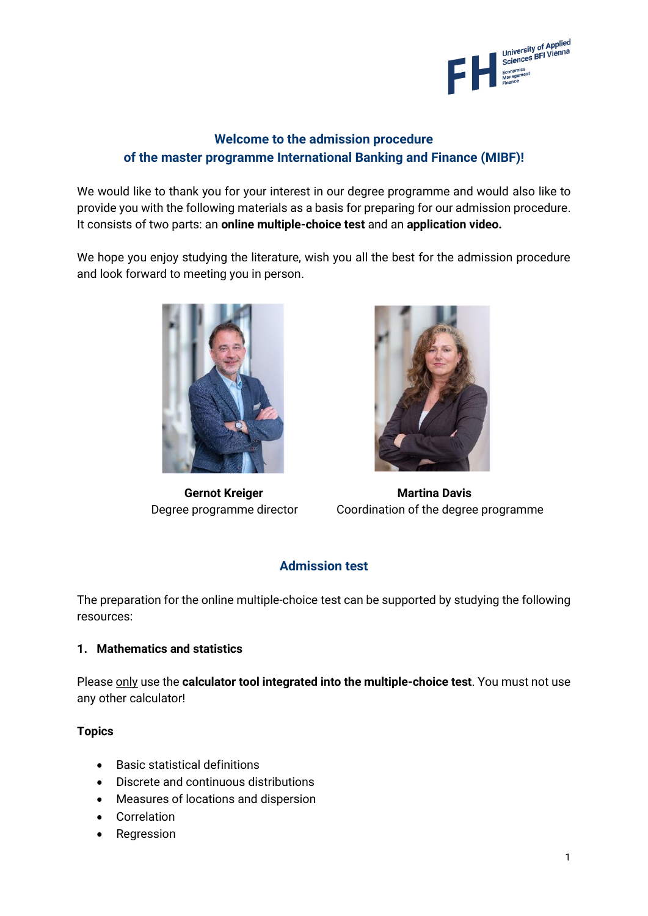

# **Welcome to the admission procedure of the master programme International Banking and Finance (MIBF)!**

We would like to thank you for your interest in our degree programme and would also like to provide you with the following materials as a basis for preparing for our admission procedure. It consists of two parts: an **online multiple-choice test** and an **application video.**

We hope you enjoy studying the literature, wish you all the best for the admission procedure and look forward to meeting you in person.





**Gernot Kreiger Martina Davis** Degree programme director Coordination of the degree programme

## **Admission test**

The preparation for the online multiple-choice test can be supported by studying the following resources:

#### **1. Mathematics and statistics**

Please only use the **calculator tool integrated into the multiple-choice test**. You must not use any other calculator!

**Topics**

- Basic statistical definitions
- Discrete and continuous distributions
- Measures of locations and dispersion
- Correlation
- Regression